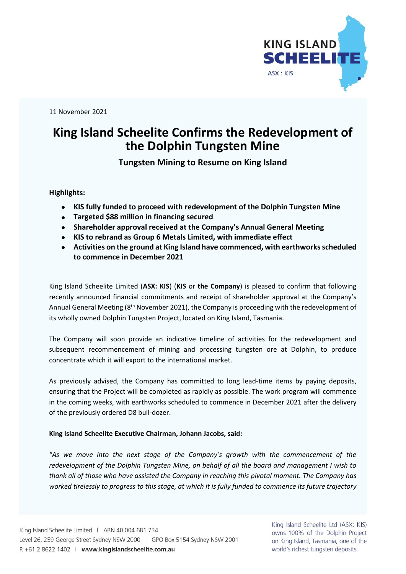

11 November 2021

## **King Island Scheelite Confirms the Redevelopment of the Dolphin Tungsten Mine**

**Tungsten Mining to Resume on King Island**

**Highlights:**

- **KIS fully funded to proceed with redevelopment of the Dolphin Tungsten Mine**
- **Targeted \$88 million in financing secured**
- **Shareholder approval received at the Company's Annual General Meeting**
- **KIS to rebrand as Group 6 Metals Limited, with immediate effect**
- **Activities on the ground at King Island have commenced, with earthworksscheduled to commence in December 2021**

King Island Scheelite Limited (**ASX: KIS**) (**KIS** or **the Company**) is pleased to confirm that following recently announced financial commitments and receipt of shareholder approval at the Company's Annual General Meeting (8<sup>th</sup> November 2021), the Company is proceeding with the redevelopment of its wholly owned Dolphin Tungsten Project, located on King Island, Tasmania.

The Company will soon provide an indicative timeline of activities for the redevelopment and subsequent recommencement of mining and processing tungsten ore at Dolphin, to produce concentrate which it will export to the international market.

As previously advised, the Company has committed to long lead-time items by paying deposits, ensuring that the Project will be completed as rapidly as possible. The work program will commence in the coming weeks, with earthworks scheduled to commence in December 2021 after the delivery of the previously ordered D8 bull-dozer.

## **King Island Scheelite Executive Chairman, Johann Jacobs, said:**

*"As we move into the next stage of the Company's growth with the commencement of the redevelopment of the Dolphin Tungsten Mine, on behalf of all the board and management I wish to thank all of those who have assisted the Company in reaching this pivotal moment. The Company has*  worked tirelessly to progress to this stage, at which it is fully funded to commence its future trajectory